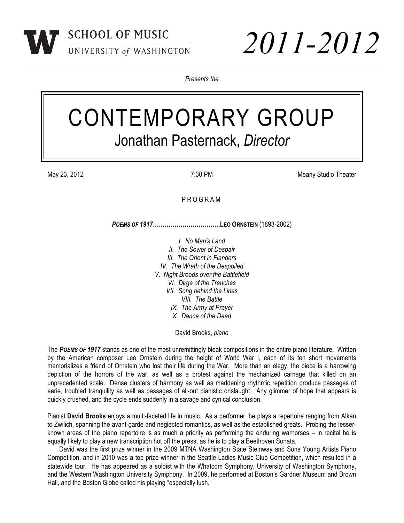

*Presents the*

## CONTEMPORARY GROUP Jonathan Pasternack, *Director*

May 23, 2012 **May 23, 2012 May 23, 2012 Meany Studio Theater Meany Studio Theater Meany Studio Theater** 

## P R O G R A M

*POEMS OF 1917***…………………………….LEO ORNSTEIN** (1893-2002)

*I. No Man's Land II. The Sower of Despair III. The Orient in Flanders IV. The Wrath of the Despoiled V. Night Broods over the Battlefield VI. Dirge of the Trenches VII. Song behind the Lines VIII. The Battle IX. The Army at Prayer X. Dance of the Dead*

David Brooks, *piano*

The *POEMS OF 1917* stands as one of the most unremittingly bleak compositions in the entire piano literature. Written by the American composer Leo Ornstein during the height of World War I, each of its ten short movements memorializes a friend of Ornstein who lost their life during the War. More than an elegy, the piece is a harrowing depiction of the horrors of the war, as well as a protest against the mechanized carnage that killed on an unprecedented scale. Dense clusters of harmony as well as maddening rhythmic repetition produce passages of eerie, troubled tranquility as well as passages of all-out pianistic onslaught. Any glimmer of hope that appears is quickly crushed, and the cycle ends suddenly in a savage and cynical conclusion.

Pianist **David Brooks** enjoys a multi-faceted life in music. As a performer, he plays a repertoire ranging from Alkan to Zwilich, spanning the avant-garde and neglected romantics, as well as the established greats. Probing the lesserknown areas of the piano repertoire is as much a priority as performing the enduring warhorses – in recital he is equally likely to play a new transcription hot off the press, as he is to play a Beethoven Sonata.

David was the first prize winner in the 2009 MTNA Washington State Steinway and Sons Young Artists Piano Competition, and in 2010 was a top prize winner in the Seattle Ladies Music Club Competition, which resulted in a statewide tour. He has appeared as a soloist with the Whatcom Symphony, University of Washington Symphony, and the Western Washington University Symphony. In 2009, he performed at Boston's Gardner Museum and Brown Hall, and the Boston Globe called his playing "especially lush."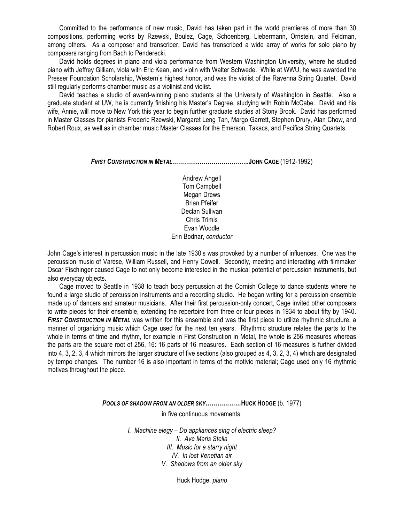Committed to the performance of new music, David has taken part in the world premieres of more than 30 compositions, performing works by Rzewski, Boulez, Cage, Schoenberg, Liebermann, Ornstein, and Feldman, among others. As a composer and transcriber, David has transcribed a wide array of works for solo piano by composers ranging from Bach to Penderecki.

David holds degrees in piano and viola performance from Western Washington University, where he studied piano with Jeffrey Gilliam, viola with Eric Kean, and violin with Walter Schwede. While at WWU, he was awarded the Presser Foundation Scholarship, Western's highest honor, and was the violist of the Ravenna String Quartet. David still regularly performs chamber music as a violinist and violist.

David teaches a studio of award-winning piano students at the University of Washington in Seattle. Also a graduate student at UW, he is currently finishing his Master's Degree, studying with Robin McCabe. David and his wife, Annie, will move to New York this year to begin further graduate studies at Stony Brook. David has performed in Master Classes for pianists Frederic Rzewski, Margaret Leng Tan, Margo Garrett, Stephen Drury, Alan Chow, and Robert Roux, as well as in chamber music Master Classes for the Emerson, Takacs, and Pacifica String Quartets.

*FIRST CONSTRUCTION IN METAL***………….……………………..JOHN CAGE** (1912-1992)

Andrew Angell Tom Campbell Megan Drews Brian Pfeifer Declan Sullivan Chris Trimis Evan Woodle Erin Bodnar, *conductor*

John Cage's interest in percussion music in the late 1930's was provoked by a number of influences. One was the percussion music of Varese, William Russell, and Henry Cowell. Secondly, meeting and interacting with filmmaker Oscar Fischinger caused Cage to not only become interested in the musical potential of percussion instruments, but also everyday objects.

Cage moved to Seattle in 1938 to teach body percussion at the Cornish College to dance students where he found a large studio of percussion instruments and a recording studio. He began writing for a percussion ensemble made up of dancers and amateur musicians. After their first percussion-only concert, Cage invited other composers to write pieces for their ensemble, extending the repertoire from three or four pieces in 1934 to about fifty by 1940. *FIRST CONSTRUCTION IN METAL* was written for this ensemble and was the first piece to utilize rhythmic structure, a manner of organizing music which Cage used for the next ten years. Rhythmic structure relates the parts to the whole in terms of time and rhythm, for example in First Construction in Metal, the whole is 256 measures whereas the parts are the square root of 256, 16: 16 parts of 16 measures. Each section of 16 measures is further divided into 4, 3, 2, 3, 4 which mirrors the larger structure of five sections (also grouped as 4, 3, 2, 3, 4) which are designated by tempo changes. The number 16 is also important in terms of the motivic material; Cage used only 16 rhythmic motives throughout the piece.

*POOLS OF SHADOW FROM AN OLDER SKY………………***HUCK HODGE** (b*.* 1977)

in five continuous movements:

*I. Machine elegy – Do appliances sing of electric sleep? II. Ave Maris Stella III. Music for a starry night IV. In lost Venetian air V. Shadows from an older sky*

Huck Hodge, *piano*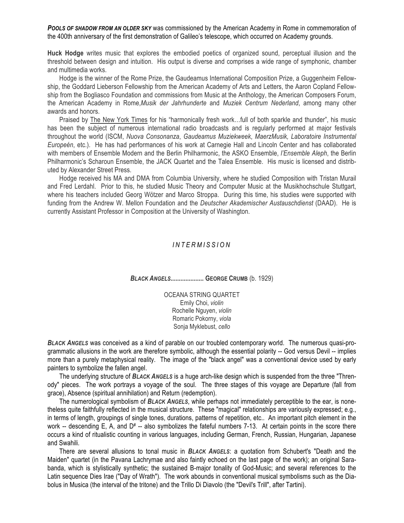*POOLS OF SHADOW FROM AN OLDER SKY* was commissioned by the American Academy in Rome in commemoration of the 400th anniversary of the first demonstration of Galileo's telescope, which occurred on Academy grounds.

**Huck Hodge** writes music that explores the embodied poetics of organized sound, perceptual illusion and the threshold between design and intuition. His output is diverse and comprises a wide range of symphonic, chamber and multimedia works.

Hodge is the winner of the Rome Prize, the Gaudeamus International Composition Prize, a Guggenheim Fellowship, the Goddard Lieberson Fellowship from the American Academy of Arts and Letters, the Aaron Copland Fellowship from the Bogliasco Foundation and commissions from Music at the Anthology, the American Composers Forum, the American Academy in Rome,*Musik der Jahrhunderte* and *Muziek Centrum Nederland*, among many other awards and honors.

Praised by The New York Times for his "harmonically fresh work…full of both sparkle and thunder", his music has been the subject of numerous international radio broadcasts and is regularly performed at major festivals throughout the world (ISCM, *Nuova Consonanza*, *Gaudeamus Muziekweek*, *MaerzMusik, Laboratoire Instrumental Europeén*, etc.). He has had performances of his work at Carnegie Hall and Lincoln Center and has collaborated with members of Ensemble Modern and the Berlin Philharmonic, the ASKO Ensemble, *l'Ensemble Aleph*, the Berlin Philharmonic's Scharoun Ensemble, the JACK Quartet and the Talea Ensemble. His music is licensed and distributed by Alexander Street Press.

Hodge received his MA and DMA from Columbia University, where he studied Composition with Tristan Murail and Fred Lerdahl. Prior to this, he studied Music Theory and Computer Music at the Musikhochschule Stuttgart, where his teachers included Georg Wötzer and Marco Stroppa. During this time, his studies were supported with funding from the Andrew W. Mellon Foundation and the *Deutscher Akademischer Austauschdienst* (DAAD). He is currently Assistant Professor in Composition at the University of Washington.

## *I N T E R M I S S I O N*

*BLACK ANGELS***.................... GEORGE CRUMB** (b. 1929)

OCEANA STRING QUARTET Emily Choi, *violin* Rochelle Nguyen, *violin* Romaric Pokorny, *viola* Sonja Myklebust, *cello*

*BLACK ANGELS* was conceived as a kind of parable on our troubled contemporary world. The numerous quasi-programmatic allusions in the work are therefore symbolic, although the essential polarity -- God versus Devil -- implies more than a purely metaphysical reality. The image of the "black angel" was a conventional device used by early painters to symbolize the fallen angel.

The underlying structure of *BLACK ANGELS* is a huge arch-like design which is suspended from the three "Threnody" pieces. The work portrays a voyage of the soul. The three stages of this voyage are Departure (fall from grace), Absence (spiritual annihilation) and Return (redemption).

The numerological symbolism of *BLACK ANGELS*, while perhaps not immediately perceptible to the ear, is nonetheless quite faithfully reflected in the musical structure. These "magical" relationships are variously expressed; e.g., in terms of length, groupings of single tones, durations, patterns of repetition, etc.. An important pitch element in the work  $-$  descending E, A, and  $D^* -$  also symbolizes the fateful numbers 7-13. At certain points in the score there occurs a kind of ritualistic counting in various languages, including German, French, Russian, Hungarian, Japanese and Swahili.

There are several allusions to tonal music in *BLACK ANGELS*: a quotation from Schubert's "Death and the Maiden" quartet (in the Pavana Lachrymae and also faintly echoed on the last page of the work); an original Sarabanda, which is stylistically synthetic; the sustained B-major tonality of God-Music; and several references to the Latin sequence Dies Irae ("Day of Wrath"). The work abounds in conventional musical symbolisms such as the Diabolus in Musica (the interval of the tritone) and the Trillo Di Diavolo (the "Devil's Trill", after Tartini).